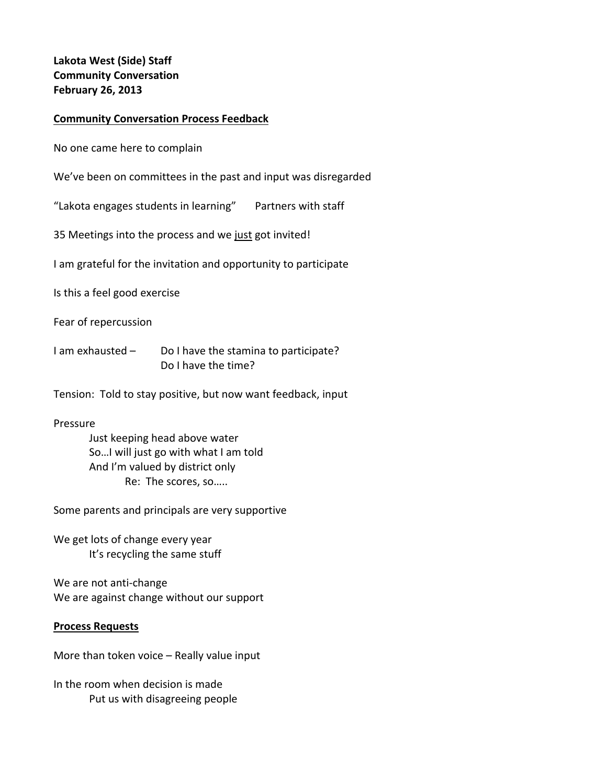# **Lakota West (Side) Staff Community Conversation February 26, 2013**

## **Community Conversation Process Feedback**

No one came here to complain

We've been on committees in the past and input was disregarded

"Lakota engages students in learning" Partners with staff

35 Meetings into the process and we just got invited!

I am grateful for the invitation and opportunity to participate

Is this a feel good exercise

Fear of repercussion

- I am exhausted Do I have the stamina to participate? Do I have the time?
- Tension: Told to stay positive, but now want feedback, input

Pressure

Just keeping head above water So…I will just go with what I am told And I'm valued by district only Re: The scores, so…..

Some parents and principals are very supportive

We get lots of change every year It's recycling the same stuff

We are not anti‐change We are against change without our support

#### **Process Requests**

More than token voice – Really value input

In the room when decision is made Put us with disagreeing people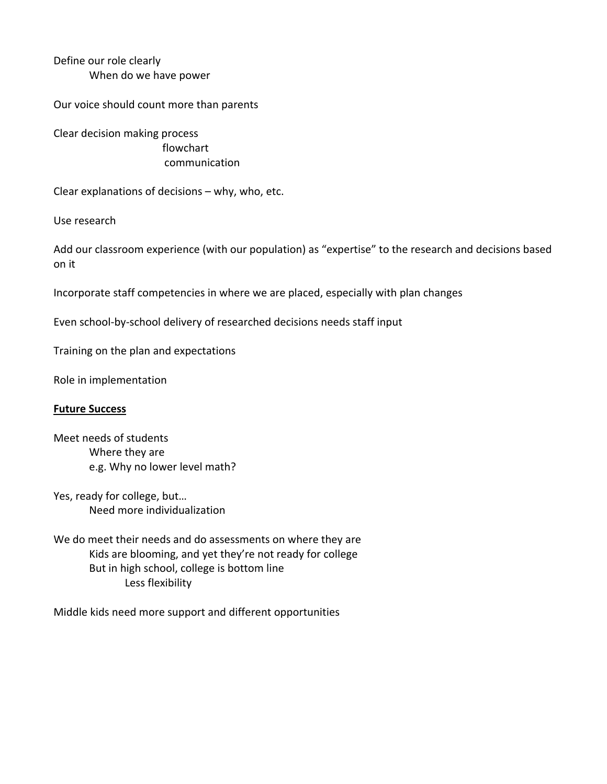Define our role clearly When do we have power

Our voice should count more than parents

Clear decision making process flowchart communication

Clear explanations of decisions – why, who, etc.

Use research

Add our classroom experience (with our population) as "expertise" to the research and decisions based on it

Incorporate staff competencies in where we are placed, especially with plan changes

Even school-by-school delivery of researched decisions needs staff input

Training on the plan and expectations

Role in implementation

#### **Future Success**

Meet needs of students Where they are e.g. Why no lower level math?

Yes, ready for college, but… Need more individualization

We do meet their needs and do assessments on where they are Kids are blooming, and yet they're not ready for college But in high school, college is bottom line Less flexibility

Middle kids need more support and different opportunities